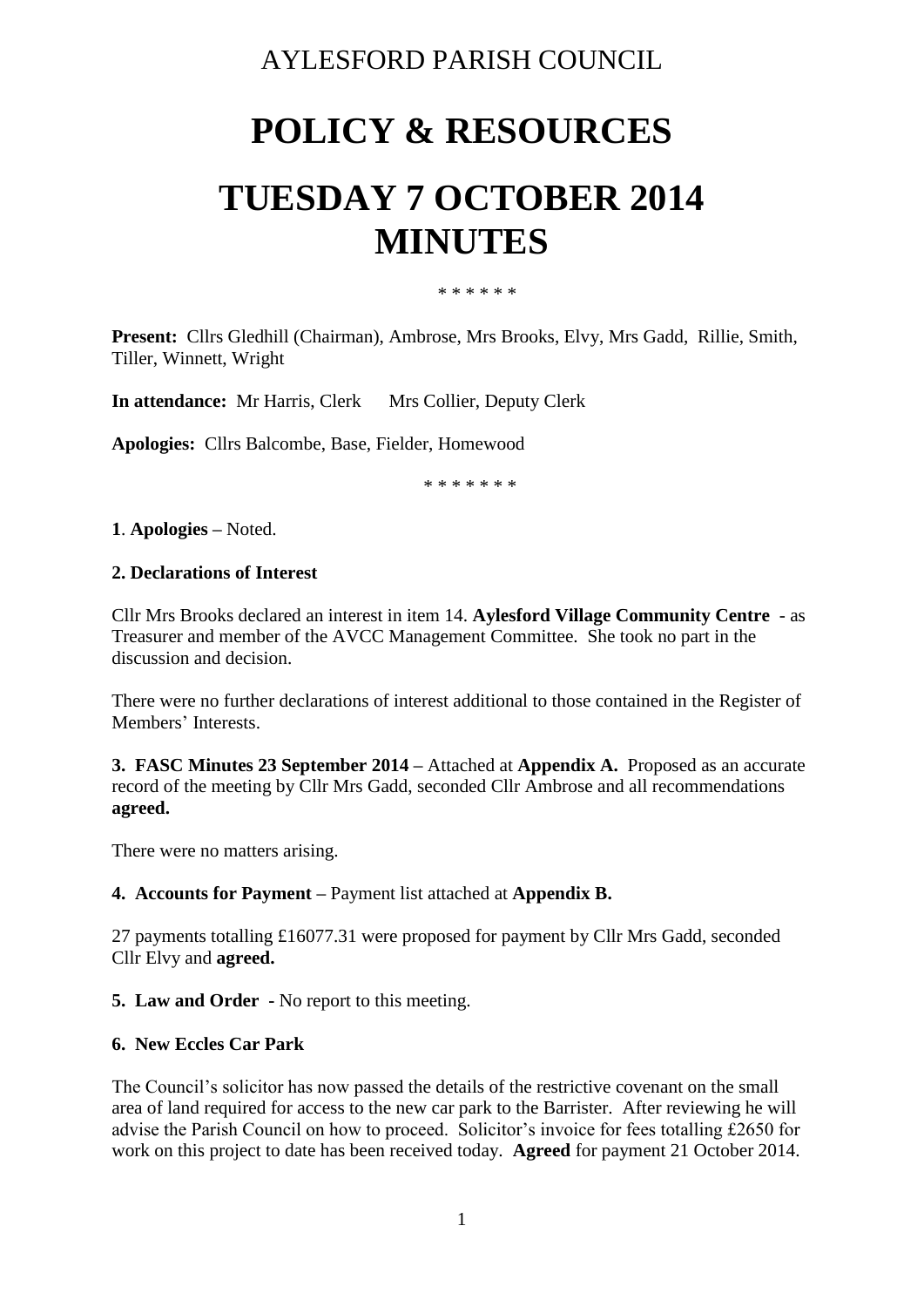# AYLESFORD PARISH COUNCIL

# **POLICY & RESOURCES**

# **TUESDAY 7 OCTOBER 2014 MINUTES**

\* \* \* \* \* \*

**Present:** Cllrs Gledhill (Chairman), Ambrose, Mrs Brooks, Elvy, Mrs Gadd, Rillie, Smith, Tiller, Winnett, Wright

**In attendance:** Mr Harris, Clerk Mrs Collier, Deputy Clerk

**Apologies:** Cllrs Balcombe, Base, Fielder, Homewood

\* \* \* \* \* \* \*

**1**. **Apologies –** Noted.

#### **2. Declarations of Interest**

Cllr Mrs Brooks declared an interest in item 14. **Aylesford Village Community Centre** - as Treasurer and member of the AVCC Management Committee. She took no part in the discussion and decision.

There were no further declarations of interest additional to those contained in the Register of Members' Interests.

**3. FASC Minutes 23 September 2014 –** Attached at **Appendix A.** Proposed as an accurate record of the meeting by Cllr Mrs Gadd, seconded Cllr Ambrose and all recommendations **agreed.**

There were no matters arising.

### **4. Accounts for Payment –** Payment list attached at **Appendix B.**

27 payments totalling £16077.31 were proposed for payment by Cllr Mrs Gadd, seconded Cllr Elvy and **agreed.**

### **5. Law and Order -** No report to this meeting.

### **6. New Eccles Car Park**

The Council's solicitor has now passed the details of the restrictive covenant on the small area of land required for access to the new car park to the Barrister. After reviewing he will advise the Parish Council on how to proceed. Solicitor's invoice for fees totalling £2650 for work on this project to date has been received today. **Agreed** for payment 21 October 2014.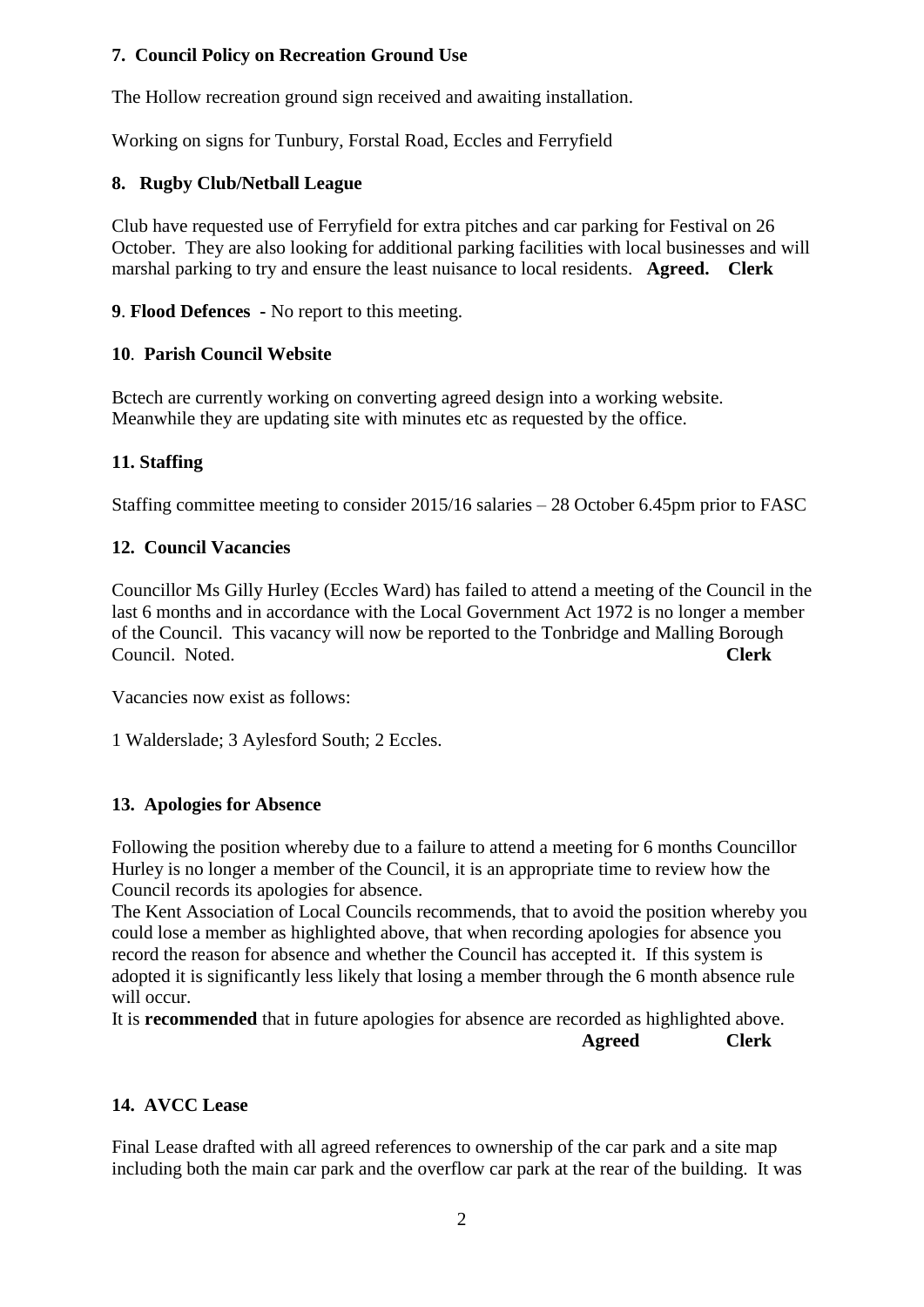# **7. Council Policy on Recreation Ground Use**

The Hollow recreation ground sign received and awaiting installation.

Working on signs for Tunbury, Forstal Road, Eccles and Ferryfield

# **8. Rugby Club/Netball League**

Club have requested use of Ferryfield for extra pitches and car parking for Festival on 26 October. They are also looking for additional parking facilities with local businesses and will marshal parking to try and ensure the least nuisance to local residents. **Agreed. Clerk**

# **9**. **Flood Defences -** No report to this meeting.

# **10**. **Parish Council Website**

Bctech are currently working on converting agreed design into a working website. Meanwhile they are updating site with minutes etc as requested by the office.

# **11. Staffing**

Staffing committee meeting to consider 2015/16 salaries – 28 October 6.45pm prior to FASC

# **12. Council Vacancies**

Councillor Ms Gilly Hurley (Eccles Ward) has failed to attend a meeting of the Council in the last 6 months and in accordance with the Local Government Act 1972 is no longer a member of the Council. This vacancy will now be reported to the Tonbridge and Malling Borough Council. Noted. **Clerk**

Vacancies now exist as follows:

1 Walderslade; 3 Aylesford South; 2 Eccles.

### **13. Apologies for Absence**

Following the position whereby due to a failure to attend a meeting for 6 months Councillor Hurley is no longer a member of the Council, it is an appropriate time to review how the Council records its apologies for absence.

The Kent Association of Local Councils recommends, that to avoid the position whereby you could lose a member as highlighted above, that when recording apologies for absence you record the reason for absence and whether the Council has accepted it. If this system is adopted it is significantly less likely that losing a member through the 6 month absence rule will occur.

It is **recommended** that in future apologies for absence are recorded as highlighted above.  **Agreed Clerk**

### **14. AVCC Lease**

Final Lease drafted with all agreed references to ownership of the car park and a site map including both the main car park and the overflow car park at the rear of the building. It was